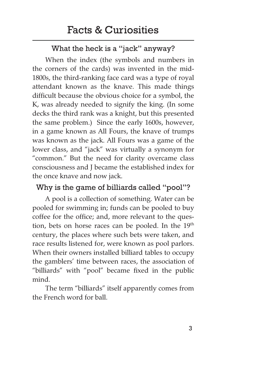#### What the heck is a "jack" anyway?

When the index (the symbols and numbers in the corners of the cards) was invented in the mid-1800s, the third-ranking face card was a type of royal attendant known as the knave. This made things difficult because the obvious choice for a symbol, the K, was already needed to signify the king. (In some decks the third rank was a knight, but this presented the same problem.) Since the early 1600s, however, in a game known as All Fours, the knave of trumps was known as the jack. All Fours was a game of the lower class, and "jack" was virtually a synonym for "common." But the need for clarity overcame class consciousness and J became the established index for the once knave and now jack.

#### Why is the game of billiards called "pool"?

A pool is a collection of something. Water can be pooled for swimming in; funds can be pooled to buy coffee for the office; and, more relevant to the question, bets on horse races can be pooled. In the  $19<sup>th</sup>$ century, the places where such bets were taken, and race results listened for, were known as pool parlors. When their owners installed billiard tables to occupy the gamblers' time between races, the association of "billiards" with "pool" became fixed in the public mind.

The term "billiards" itself apparently comes from the French word for ball.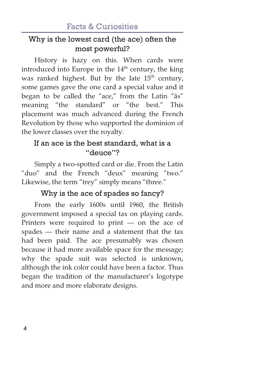### Why is the lowest card (the ace) often the most powerful?

History is hazy on this. When cards were introduced into Europe in the  $14<sup>th</sup>$  century, the king was ranked highest. But by the late  $15<sup>th</sup>$  century, some games gave the one card a special value and it began to be called the "ace," from the Latin "as" meaning "the standard" or "the best." This placement was much advanced during the French Revolution by those who supported the dominion of the lower classes over the royalty.

# If an ace is the best standard, what is a "deuce"?

Simply a two-spotted card or die. From the Latin "duo" and the French "deux" meaning "two." Likewise, the term "trey" simply means "three."

# Why is the ace of spades so fancy?

From the early 1600s until 1960, the British government imposed a special tax on playing cards. Printers were required to print — on the ace of spades — their name and a statement that the tax had been paid. The ace presumably was chosen because it had more available space for the message; why the spade suit was selected is unknown, although the ink color could have been a factor. Thus began the tradition of the manufacturer's logotype and more and more elaborate designs.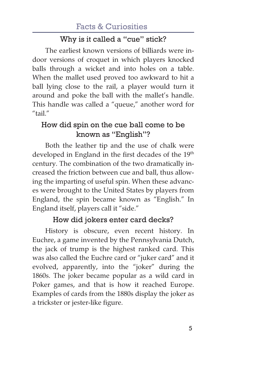# Facts & Curiosities

### Why is it called a "cue" stick?

The earliest known versions of billiards were indoor versions of croquet in which players knocked balls through a wicket and into holes on a table. When the mallet used proved too awkward to hit a ball lying close to the rail, a player would turn it around and poke the ball with the mallet's handle. This handle was called a "queue," another word for "tail."

### How did spin on the cue ball come to be known as "English"?

Both the leather tip and the use of chalk were developed in England in the first decades of the 19<sup>th</sup> century. The combination of the two dramatically increased the friction between cue and ball, thus allowing the imparting of useful spin. When these advances were brought to the United States by players from England, the spin became known as "English." In England itself, players call it "side."

#### How did jokers enter card decks?

History is obscure, even recent history. In Euchre, a game invented by the Pennsylvania Dutch, the jack of trump is the highest ranked card. This was also called the Euchre card or "juker card" and it evolved, apparently, into the "joker" during the 1860s. The joker became popular as a wild card in Poker games, and that is how it reached Europe. Examples of cards from the 1880s display the joker as a trickster or jester-like figure.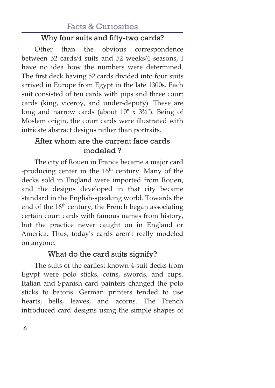# Facts & Curiosities

### Why four suits and fifty-two cards?

Other than the obvious correspondence between 52 cards/4 suits and 52 weeks/4 seasons, I have no idea how the numbers were determined. The first deck having 52 cards divided into four suits arrived in Europe from Egypt in the late 1300s. Each suit consisted of ten cards with pips and three court cards (king, viceroy, and under-deputy). These are long and narrow cards (about  $10'' \times 3\frac{3}{4}$ ). Being of Moslem origin, the court cards were illustrated with intricate abstract designs rather than portraits.

## After whom are the current face cards modeled ?

The city of Rouen in France became a major card -producing center in the  $16<sup>th</sup>$  century. Many of the decks sold in England were imported from Rouen, and the designs developed in that city became standard in the English-speaking world. Towards the end of the  $16<sup>th</sup>$  century, the French began associating certain court cards with famous names from history, but the practice never caught on in England or America. Thus, today's cards aren't really modeled on anyone.

### What do the card suits signify?

The suits of the earliest known 4-suit decks from Egypt were polo sticks, coins, swords, and cups. Italian and Spanish card painters changed the polo sticks to batons. German printers tended to use hearts, bells, leaves, and acorns. The French introduced card designs using the simple shapes of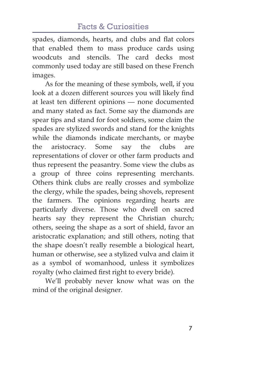spades, diamonds, hearts, and clubs and flat colors that enabled them to mass produce cards using woodcuts and stencils. The card decks most commonly used today are still based on these French images.

As for the meaning of these symbols, well, if you look at a dozen different sources you will likely find at least ten different opinions — none documented and many stated as fact. Some say the diamonds are spear tips and stand for foot soldiers, some claim the spades are stylized swords and stand for the knights while the diamonds indicate merchants, or maybe the aristocracy. Some say the clubs are representations of clover or other farm products and thus represent the peasantry. Some view the clubs as a group of three coins representing merchants. Others think clubs are really crosses and symbolize the clergy, while the spades, being shovels, represent the farmers. The opinions regarding hearts are particularly diverse. Those who dwell on sacred hearts say they represent the Christian church; others, seeing the shape as a sort of shield, favor an aristocratic explanation; and still others, noting that the shape doesn't really resemble a biological heart, human or otherwise, see a stylized vulva and claim it as a symbol of womanhood, unless it symbolizes royalty (who claimed first right to every bride).

We'll probably never know what was on the mind of the original designer.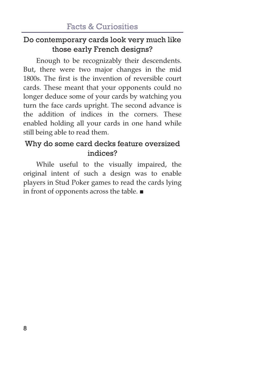### Do contemporary cards look very much like those early French designs?

Enough to be recognizably their descendents. But, there were two major changes in the mid 1800s. The first is the invention of reversible court cards. These meant that your opponents could no longer deduce some of your cards by watching you turn the face cards upright. The second advance is the addition of indices in the corners. These enabled holding all your cards in one hand while still being able to read them.

# Why do some card decks feature oversized indices?

While useful to the visually impaired, the original intent of such a design was to enable players in Stud Poker games to read the cards lying in front of opponents across the table.  $\blacksquare$